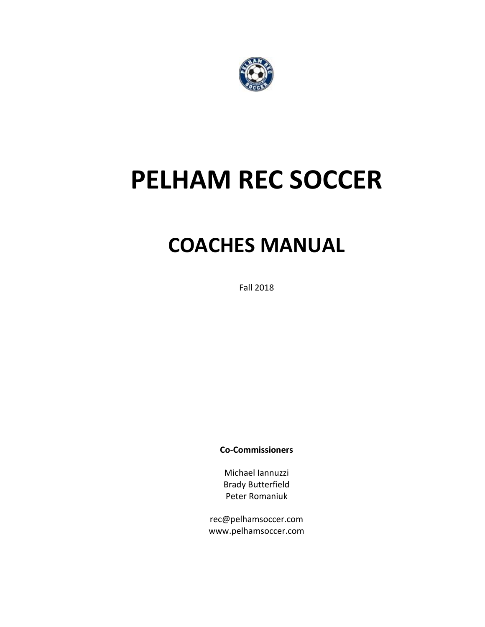

# **PELHAM REC SOCCER**

# **COACHES MANUAL**

Fall 2018

**Co-Commissioners**

Michael Iannuzzi Brady Butterfield Peter Romaniuk

rec@pelhamsoccer.com www.pelhamsoccer.com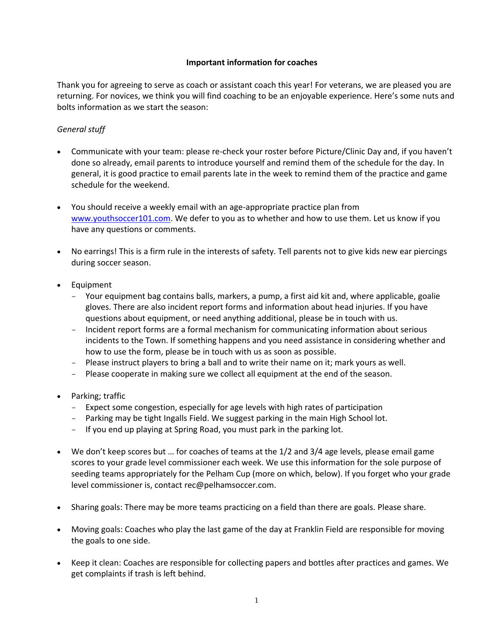# **Important information for coaches**

Thank you for agreeing to serve as coach or assistant coach this year! For veterans, we are pleased you are returning. For novices, we think you will find coaching to be an enjoyable experience. Here's some nuts and bolts information as we start the season:

# *General stuff*

- Communicate with your team: please re-check your roster before Picture/Clinic Day and, if you haven't done so already, email parents to introduce yourself and remind them of the schedule for the day. In general, it is good practice to email parents late in the week to remind them of the practice and game schedule for the weekend.
- You should receive a weekly email with an age-appropriate practice plan from [www.youthsoccer101.com.](http://www.youthsoccer101.com/) We defer to you as to whether and how to use them. Let us know if you have any questions or comments.
- No earrings! This is a firm rule in the interests of safety. Tell parents not to give kids new ear piercings during soccer season.
- Equipment
	- Your equipment bag contains balls, markers, a pump, a first aid kit and, where applicable, goalie gloves. There are also incident report forms and information about head injuries. If you have questions about equipment, or need anything additional, please be in touch with us.
	- Incident report forms are a formal mechanism for communicating information about serious incidents to the Town. If something happens and you need assistance in considering whether and how to use the form, please be in touch with us as soon as possible.
	- Please instruct players to bring a ball and to write their name on it; mark yours as well.
	- Please cooperate in making sure we collect all equipment at the end of the season.
- Parking; traffic
	- Expect some congestion, especially for age levels with high rates of participation
	- Parking may be tight Ingalls Field. We suggest parking in the main High School lot.
	- If you end up playing at Spring Road, you must park in the parking lot.
- We don't keep scores but … for coaches of teams at the 1/2 and 3/4 age levels, please email game scores to your grade level commissioner each week. We use this information for the sole purpose of seeding teams appropriately for the Pelham Cup (more on which, below). If you forget who your grade level commissioner is, contact rec@pelhamsoccer.com.
- Sharing goals: There may be more teams practicing on a field than there are goals. Please share.
- Moving goals: Coaches who play the last game of the day at Franklin Field are responsible for moving the goals to one side.
- Keep it clean: Coaches are responsible for collecting papers and bottles after practices and games. We get complaints if trash is left behind.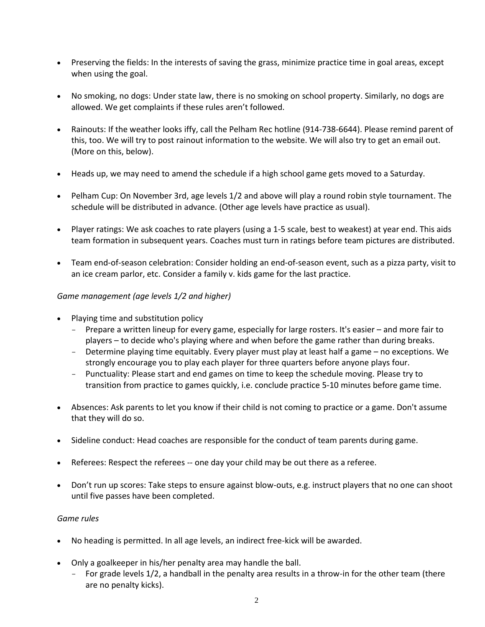- Preserving the fields: In the interests of saving the grass, minimize practice time in goal areas, except when using the goal.
- No smoking, no dogs: Under state law, there is no smoking on school property. Similarly, no dogs are allowed. We get complaints if these rules aren't followed.
- Rainouts: If the weather looks iffy, call the Pelham Rec hotline (914-738-6644). Please remind parent of this, too. We will try to post rainout information to the website. We will also try to get an email out. (More on this, below).
- Heads up, we may need to amend the schedule if a high school game gets moved to a Saturday.
- Pelham Cup: On November 3rd, age levels 1/2 and above will play a round robin style tournament. The schedule will be distributed in advance. (Other age levels have practice as usual).
- Player ratings: We ask coaches to rate players (using a 1-5 scale, best to weakest) at year end. This aids team formation in subsequent years. Coaches must turn in ratings before team pictures are distributed.
- Team end-of-season celebration: Consider holding an end-of-season event, such as a pizza party, visit to an ice cream parlor, etc. Consider a family v. kids game for the last practice.

# *Game management (age levels 1/2 and higher)*

- Playing time and substitution policy
	- Prepare a written lineup for every game, especially for large rosters. It's easier and more fair to players – to decide who's playing where and when before the game rather than during breaks.
	- Determine playing time equitably. Every player must play at least half a game no exceptions. We strongly encourage you to play each player for three quarters before anyone plays four.
	- Punctuality: Please start and end games on time to keep the schedule moving. Please try to transition from practice to games quickly, i.e. conclude practice 5-10 minutes before game time.
- Absences: Ask parents to let you know if their child is not coming to practice or a game. Don't assume that they will do so.
- Sideline conduct: Head coaches are responsible for the conduct of team parents during game.
- Referees: Respect the referees -- one day your child may be out there as a referee.
- Don't run up scores: Take steps to ensure against blow-outs, e.g. instruct players that no one can shoot until five passes have been completed.

# *Game rules*

- No heading is permitted. In all age levels, an indirect free-kick will be awarded.
- Only a goalkeeper in his/her penalty area may handle the ball.
	- For grade levels 1/2, a handball in the penalty area results in a throw-in for the other team (there are no penalty kicks).